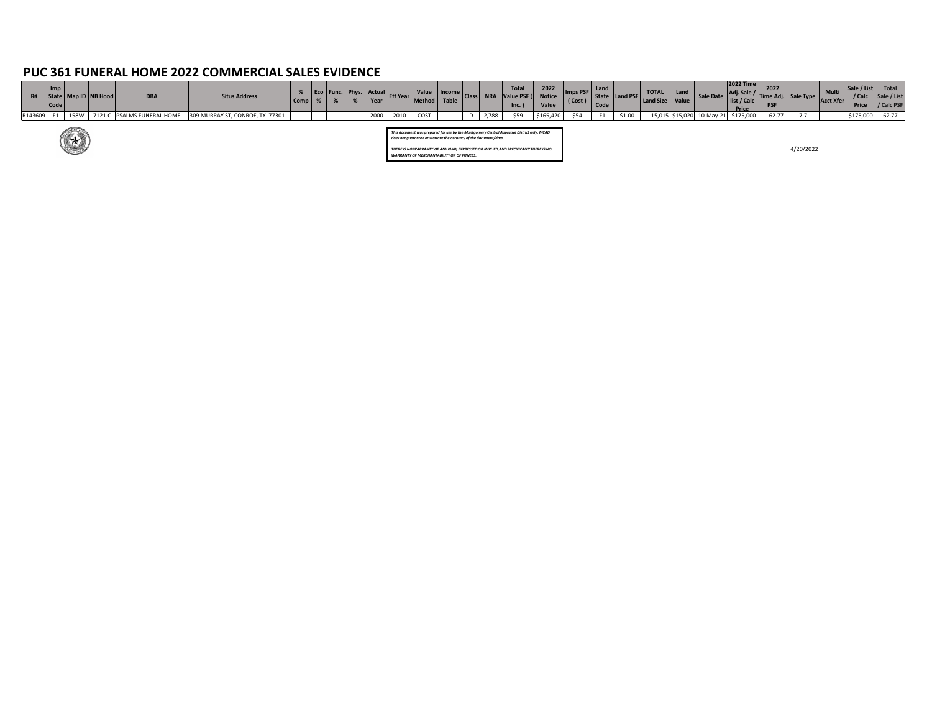# **PUC 361 FUNERAL HOME 2022 COMMERCIAL SALES EVIDENCE**

| R#      | $\blacksquare$<br>Code |                             | Map ID   NB Hood | <b>DBA</b> | <b>Situs Address</b>                                       | $Comp \mid$ |  | Eco   Func.   Phys.   Actual $\vert$<br>Year | " Eff Year | Value   Income<br>"  Method   Table                              | Class |       | <b>Total</b><br><b>NRA</b> Value PSF (<br>$\ln c.$ )                                       | 2022<br><b>Notice</b><br>Value | mps PSF  <br>$\left\vert \frac{1}{1 + \cos \theta} \right\vert$ Code $\left\vert \frac{1}{1 + \cos \theta} \right\vert$ | Land | State   Land PSF | <b>TOTAL</b><br>  Land Size   Value | <b>I</b> Land |                           | <b>2022 Time</b><br>Adj. Sale /<br>Sale Date   list / Calc  <br>Price | 2022  | <b>Time Adj.</b> Sale Type Acct Xfer | <b>Multi</b> | <b>Price</b>           | e / List       Total  <br>/ Calc   Sale / List<br>$\sqrt{C}$ Calc PSF |
|---------|------------------------|-----------------------------|------------------|------------|------------------------------------------------------------|-------------|--|----------------------------------------------|------------|------------------------------------------------------------------|-------|-------|--------------------------------------------------------------------------------------------|--------------------------------|-------------------------------------------------------------------------------------------------------------------------|------|------------------|-------------------------------------|---------------|---------------------------|-----------------------------------------------------------------------|-------|--------------------------------------|--------------|------------------------|-----------------------------------------------------------------------|
| R143609 |                        | 158W                        |                  |            | 7121.C PSALMS FUNERAL HOME 309 MURRAY ST, CONROE, TX 77301 |             |  | 2000                                         | 2010       | COST                                                             |       | 2,788 | \$59                                                                                       | \$165,420                      | \$54                                                                                                                    | F1   | \$1.00           |                                     |               | 15,015 \$15,020 10-May-21 | \$175,000                                                             | 62.77 |                                      |              | $\mid$ \$175,000 62.77 |                                                                       |
|         |                        | <b>ARANTISTICAL SERVICE</b> |                  |            |                                                            |             |  |                                              |            | does not guarantee or warrant the accuracy of the document/data. |       |       | This document was prepared for use by the Montgomery Central Appraisal District only. MCAD |                                |                                                                                                                         |      |                  |                                     |               |                           |                                                                       |       |                                      |              |                        |                                                                       |

4/20/2022



*WARRANTY OF MERCHANTABILITY OR OF FITNESS.*

 $(\mathbf{R})$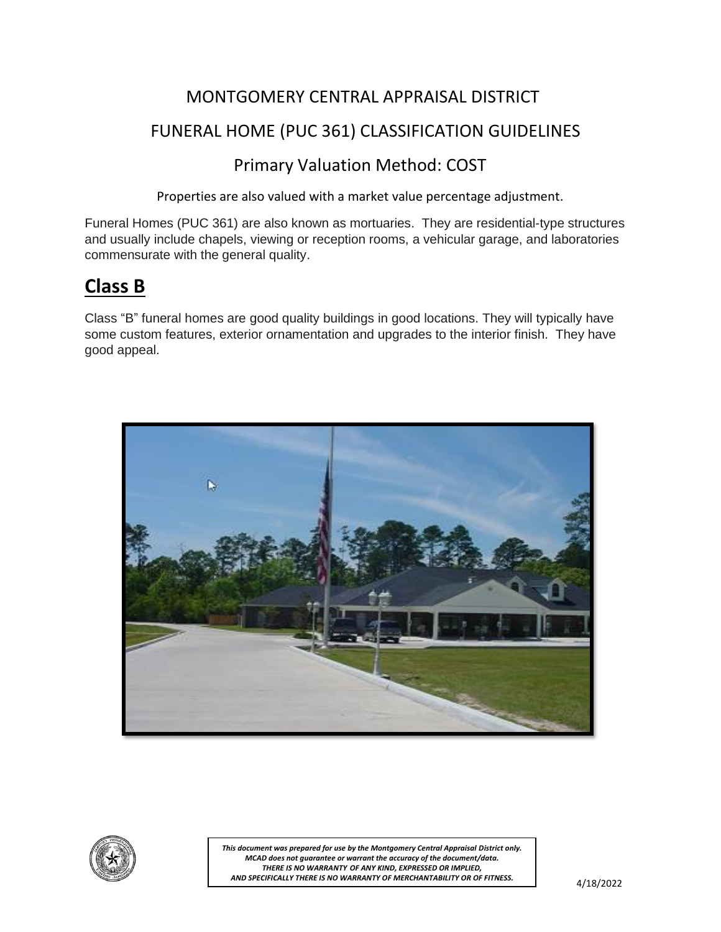#### MONTGOMERY CENTRAL APPRAISAL DISTRICT

#### FUNERAL HOME (PUC 361) CLASSIFICATION GUIDELINES

#### Primary Valuation Method: COST

Properties are also valued with a market value percentage adjustment.

Funeral Homes (PUC 361) are also known as mortuaries. They are residential-type structures and usually include chapels, viewing or reception rooms, a vehicular garage, and laboratories commensurate with the general quality.

# **Class B**

Class "B" funeral homes are good quality buildings in good locations. They will typically have some custom features, exterior ornamentation and upgrades to the interior finish. They have good appeal.



![](_page_1_Picture_8.jpeg)

*This document was prepared for use by the Montgomery Central Appraisal District only. MCAD does not guarantee or warrant the accuracy of the document/data. THERE IS NO WARRANTY OF ANY KIND, EXPRESSED OR IMPLIED, AND SPECIFICALLY THERE IS NO WARRANTY OF MERCHANTABILITY OR OF FITNESS.*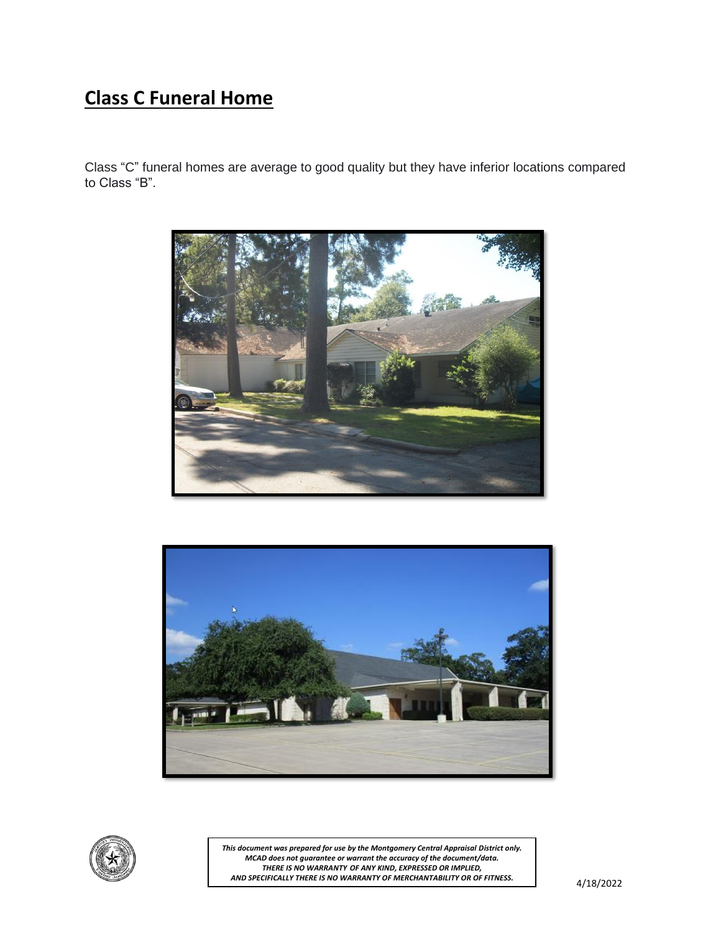# **Class C Funeral Home**

Class "C" funeral homes are average to good quality but they have inferior locations compared to Class "B".

![](_page_2_Picture_2.jpeg)

![](_page_2_Picture_3.jpeg)

![](_page_2_Picture_4.jpeg)

*This document was prepared for use by the Montgomery Central Appraisal District only. MCAD does not guarantee or warrant the accuracy of the document/data. THERE IS NO WARRANTY OF ANY KIND, EXPRESSED OR IMPLIED, AND SPECIFICALLY THERE IS NO WARRANTY OF MERCHANTABILITY OR OF FITNESS.*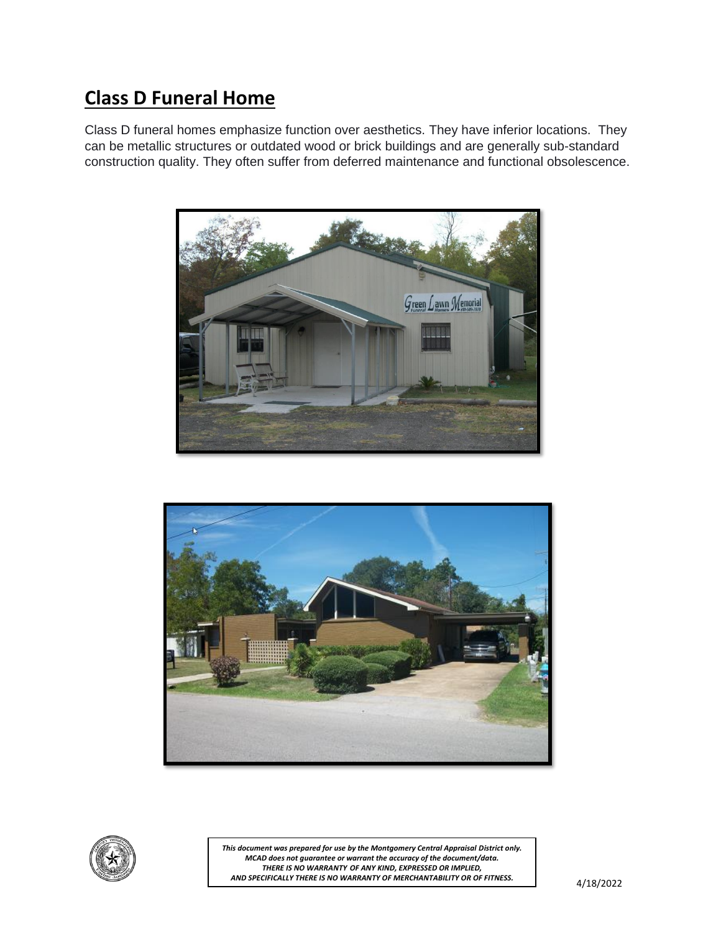# **Class D Funeral Home**

Class D funeral homes emphasize function over aesthetics. They have inferior locations. They can be metallic structures or outdated wood or brick buildings and are generally sub-standard construction quality. They often suffer from deferred maintenance and functional obsolescence.

![](_page_3_Picture_2.jpeg)

![](_page_3_Picture_3.jpeg)

![](_page_3_Picture_4.jpeg)

*This document was prepared for use by the Montgomery Central Appraisal District only. MCAD does not guarantee or warrant the accuracy of the document/data. THERE IS NO WARRANTY OF ANY KIND, EXPRESSED OR IMPLIED, AND SPECIFICALLY THERE IS NO WARRANTY OF MERCHANTABILITY OR OF FITNESS.*